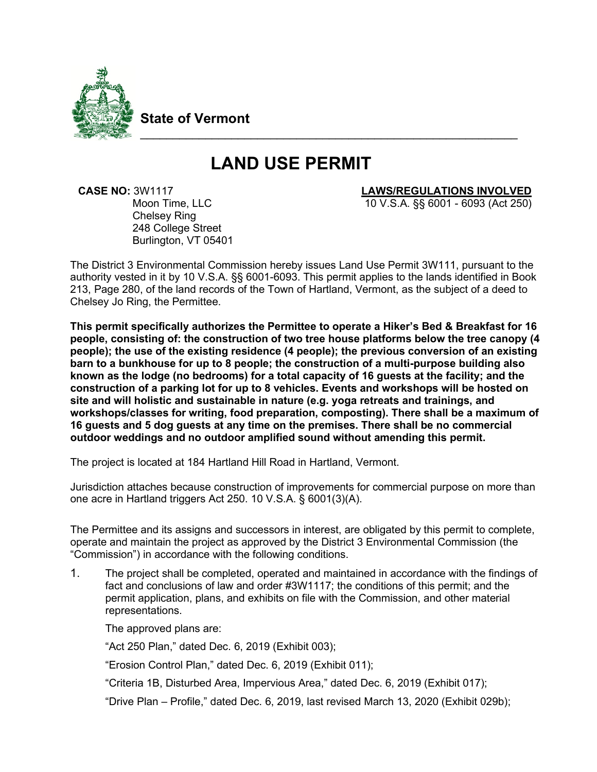

**State of Vermont**

# **LAND USE PERMIT**

\_\_\_\_\_\_\_\_\_\_\_\_\_\_\_\_\_\_\_\_\_\_\_\_\_\_\_\_\_\_\_\_\_\_\_\_\_\_\_\_\_\_\_\_\_\_\_\_\_\_\_\_\_\_\_\_\_\_

Chelsey Ring 248 College Street Burlington, VT 05401

# **CASE NO:** 3W1117 Moon Time, LLC Moon Time, LLC Moon Time, LLC

10 V.S.A. §§ 6001 - 6093 (Act 250)

The District 3 Environmental Commission hereby issues Land Use Permit 3W111, pursuant to the authority vested in it by 10 V.S.A. §§ 6001-6093. This permit applies to the lands identified in Book 213, Page 280, of the land records of the Town of Hartland, Vermont, as the subject of a deed to Chelsey Jo Ring, the Permittee.

**This permit specifically authorizes the Permittee to operate a Hiker's Bed & Breakfast for 16 people, consisting of: the construction of two tree house platforms below the tree canopy (4 people); the use of the existing residence (4 people); the previous conversion of an existing barn to a bunkhouse for up to 8 people; the construction of a multi-purpose building also known as the lodge (no bedrooms) for a total capacity of 16 guests at the facility; and the construction of a parking lot for up to 8 vehicles. Events and workshops will be hosted on site and will holistic and sustainable in nature (e.g. yoga retreats and trainings, and workshops/classes for writing, food preparation, composting). There shall be a maximum of 16 guests and 5 dog guests at any time on the premises. There shall be no commercial outdoor weddings and no outdoor amplified sound without amending this permit.**

The project is located at 184 Hartland Hill Road in Hartland, Vermont.

Jurisdiction attaches because construction of improvements for commercial purpose on more than one acre in Hartland triggers Act 250. 10 V.S.A. § 6001(3)(A).

The Permittee and its assigns and successors in interest, are obligated by this permit to complete, operate and maintain the project as approved by the District 3 Environmental Commission (the "Commission") in accordance with the following conditions.

1. The project shall be completed, operated and maintained in accordance with the findings of fact and conclusions of law and order #3W1117; the conditions of this permit; and the permit application, plans, and exhibits on file with the Commission, and other material representations.

The approved plans are:

"Act 250 Plan," dated Dec. 6, 2019 (Exhibit 003);

"Erosion Control Plan," dated Dec. 6, 2019 (Exhibit 011);

"Criteria 1B, Disturbed Area, Impervious Area," dated Dec. 6, 2019 (Exhibit 017);

"Drive Plan – Profile," dated Dec. 6, 2019, last revised March 13, 2020 (Exhibit 029b);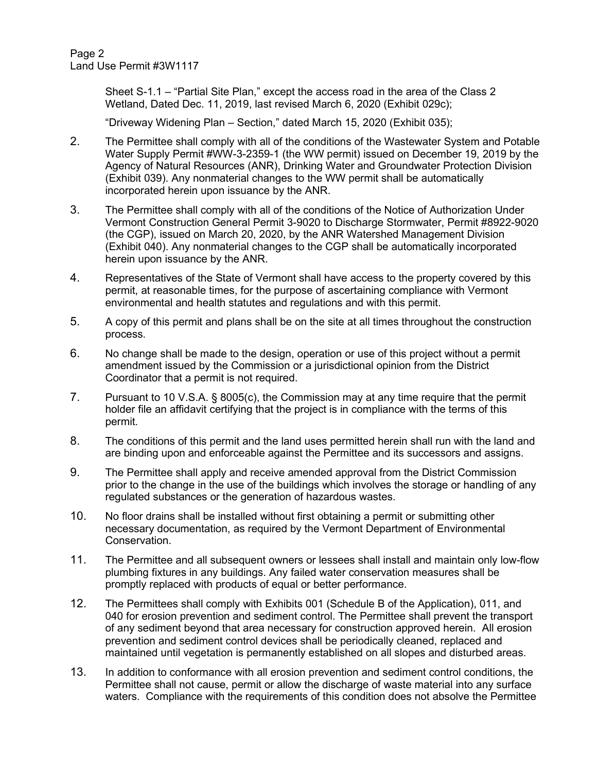Page 2 Land Use Permit #3W1117

> Sheet S-1.1 – "Partial Site Plan," except the access road in the area of the Class 2 Wetland, Dated Dec. 11, 2019, last revised March 6, 2020 (Exhibit 029c);

"Driveway Widening Plan – Section," dated March 15, 2020 (Exhibit 035);

- 2. The Permittee shall comply with all of the conditions of the Wastewater System and Potable Water Supply Permit #WW-3-2359-1 (the WW permit) issued on December 19, 2019 by the Agency of Natural Resources (ANR), Drinking Water and Groundwater Protection Division (Exhibit 039). Any nonmaterial changes to the WW permit shall be automatically incorporated herein upon issuance by the ANR.
- 3. The Permittee shall comply with all of the conditions of the Notice of Authorization Under Vermont Construction General Permit 3-9020 to Discharge Stormwater, Permit #8922-9020 (the CGP), issued on March 20, 2020, by the ANR Watershed Management Division (Exhibit 040). Any nonmaterial changes to the CGP shall be automatically incorporated herein upon issuance by the ANR.
- 4. Representatives of the State of Vermont shall have access to the property covered by this permit, at reasonable times, for the purpose of ascertaining compliance with Vermont environmental and health statutes and regulations and with this permit.
- 5. A copy of this permit and plans shall be on the site at all times throughout the construction process.
- 6. No change shall be made to the design, operation or use of this project without a permit amendment issued by the Commission or a jurisdictional opinion from the District Coordinator that a permit is not required.
- 7. Pursuant to 10 V.S.A. § 8005(c), the Commission may at any time require that the permit holder file an affidavit certifying that the project is in compliance with the terms of this permit.
- 8. The conditions of this permit and the land uses permitted herein shall run with the land and are binding upon and enforceable against the Permittee and its successors and assigns.
- 9. The Permittee shall apply and receive amended approval from the District Commission prior to the change in the use of the buildings which involves the storage or handling of any regulated substances or the generation of hazardous wastes.
- 10. No floor drains shall be installed without first obtaining a permit or submitting other necessary documentation, as required by the Vermont Department of Environmental Conservation.
- 11. The Permittee and all subsequent owners or lessees shall install and maintain only low-flow plumbing fixtures in any buildings. Any failed water conservation measures shall be promptly replaced with products of equal or better performance.
- 12. The Permittees shall comply with Exhibits 001 (Schedule B of the Application), 011, and 040 for erosion prevention and sediment control. The Permittee shall prevent the transport of any sediment beyond that area necessary for construction approved herein. All erosion prevention and sediment control devices shall be periodically cleaned, replaced and maintained until vegetation is permanently established on all slopes and disturbed areas.
- 13. In addition to conformance with all erosion prevention and sediment control conditions, the Permittee shall not cause, permit or allow the discharge of waste material into any surface waters. Compliance with the requirements of this condition does not absolve the Permittee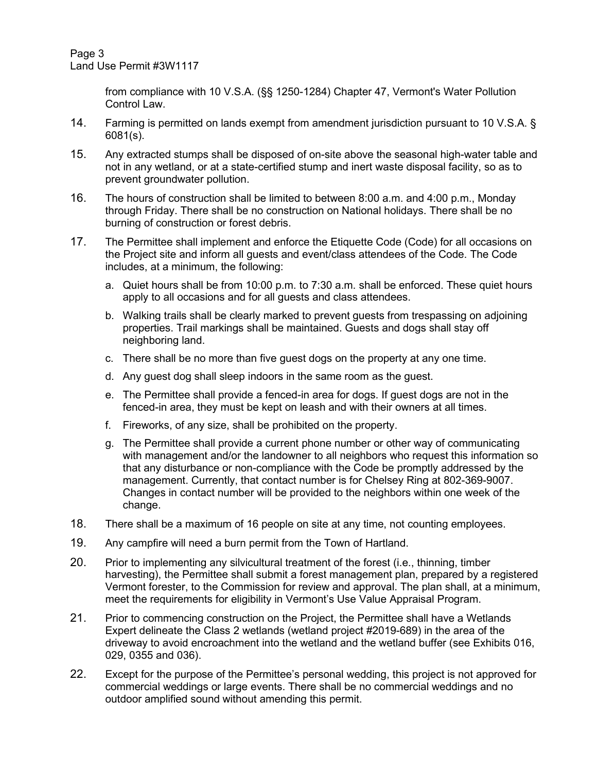from compliance with 10 V.S.A. (§§ 1250-1284) Chapter 47, Vermont's Water Pollution Control Law.

- 14. Farming is permitted on lands exempt from amendment jurisdiction pursuant to 10 V.S.A. § 6081(s).
- 15. Any extracted stumps shall be disposed of on-site above the seasonal high-water table and not in any wetland, or at a state-certified stump and inert waste disposal facility, so as to prevent groundwater pollution.
- 16. The hours of construction shall be limited to between 8:00 a.m. and 4:00 p.m., Monday through Friday. There shall be no construction on National holidays. There shall be no burning of construction or forest debris.
- 17. The Permittee shall implement and enforce the Etiquette Code (Code) for all occasions on the Project site and inform all guests and event/class attendees of the Code. The Code includes, at a minimum, the following:
	- a. Quiet hours shall be from 10:00 p.m. to 7:30 a.m. shall be enforced. These quiet hours apply to all occasions and for all guests and class attendees.
	- b. Walking trails shall be clearly marked to prevent guests from trespassing on adjoining properties. Trail markings shall be maintained. Guests and dogs shall stay off neighboring land.
	- c. There shall be no more than five guest dogs on the property at any one time.
	- d. Any guest dog shall sleep indoors in the same room as the guest.
	- e. The Permittee shall provide a fenced-in area for dogs. If guest dogs are not in the fenced-in area, they must be kept on leash and with their owners at all times.
	- f. Fireworks, of any size, shall be prohibited on the property.
	- g. The Permittee shall provide a current phone number or other way of communicating with management and/or the landowner to all neighbors who request this information so that any disturbance or non-compliance with the Code be promptly addressed by the management. Currently, that contact number is for Chelsey Ring at 802-369-9007. Changes in contact number will be provided to the neighbors within one week of the change.
- 18. There shall be a maximum of 16 people on site at any time, not counting employees.
- 19. Any campfire will need a burn permit from the Town of Hartland.
- 20. Prior to implementing any silvicultural treatment of the forest (i.e., thinning, timber harvesting), the Permittee shall submit a forest management plan, prepared by a registered Vermont forester, to the Commission for review and approval. The plan shall, at a minimum, meet the requirements for eligibility in Vermont's Use Value Appraisal Program.
- 21. Prior to commencing construction on the Project, the Permittee shall have a Wetlands Expert delineate the Class 2 wetlands (wetland project #2019-689) in the area of the driveway to avoid encroachment into the wetland and the wetland buffer (see Exhibits 016, 029, 0355 and 036).
- 22. Except for the purpose of the Permittee's personal wedding, this project is not approved for commercial weddings or large events. There shall be no commercial weddings and no outdoor amplified sound without amending this permit.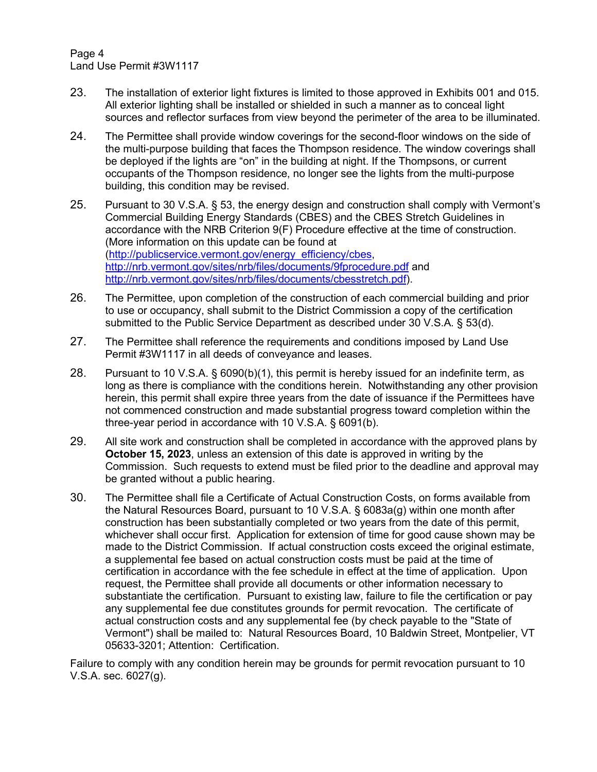Page 4 Land Use Permit #3W1117

- 23. The installation of exterior light fixtures is limited to those approved in Exhibits 001 and 015. All exterior lighting shall be installed or shielded in such a manner as to conceal light sources and reflector surfaces from view beyond the perimeter of the area to be illuminated.
- 24. The Permittee shall provide window coverings for the second-floor windows on the side of the multi-purpose building that faces the Thompson residence. The window coverings shall be deployed if the lights are "on" in the building at night. If the Thompsons, or current occupants of the Thompson residence, no longer see the lights from the multi-purpose building, this condition may be revised.
- 25. Pursuant to 30 V.S.A. § 53, the energy design and construction shall comply with Vermont's Commercial Building Energy Standards (CBES) and the CBES Stretch Guidelines in accordance with the NRB Criterion 9(F) Procedure effective at the time of construction. (More information on this update can be found at [\(http://publicservice.vermont.gov/energy\\_efficiency/cbes,](http://publicservice.vermont.gov/energy_efficiency/cbes) <http://nrb.vermont.gov/sites/nrb/files/documents/9fprocedure.pdf> and [http://nrb.vermont.gov/sites/nrb/files/documents/cbesstretch.pdf\)](http://nrb.vermont.gov/sites/nrb/files/documents/cbesstretch.pdf).
- 26. The Permittee, upon completion of the construction of each commercial building and prior to use or occupancy, shall submit to the District Commission a copy of the certification submitted to the Public Service Department as described under 30 V.S.A. § 53(d).
- 27. The Permittee shall reference the requirements and conditions imposed by Land Use Permit #3W1117 in all deeds of conveyance and leases.
- 28. Pursuant to 10 V.S.A. § 6090(b)(1), this permit is hereby issued for an indefinite term, as long as there is compliance with the conditions herein. Notwithstanding any other provision herein, this permit shall expire three years from the date of issuance if the Permittees have not commenced construction and made substantial progress toward completion within the three-year period in accordance with 10 V.S.A. § 6091(b).
- 29. All site work and construction shall be completed in accordance with the approved plans by **October 15, 2023**, unless an extension of this date is approved in writing by the Commission. Such requests to extend must be filed prior to the deadline and approval may be granted without a public hearing.
- 30. The Permittee shall file a Certificate of Actual Construction Costs, on forms available from the Natural Resources Board, pursuant to 10 V.S.A. § 6083a(g) within one month after construction has been substantially completed or two years from the date of this permit, whichever shall occur first. Application for extension of time for good cause shown may be made to the District Commission. If actual construction costs exceed the original estimate, a supplemental fee based on actual construction costs must be paid at the time of certification in accordance with the fee schedule in effect at the time of application. Upon request, the Permittee shall provide all documents or other information necessary to substantiate the certification. Pursuant to existing law, failure to file the certification or pay any supplemental fee due constitutes grounds for permit revocation. The certificate of actual construction costs and any supplemental fee (by check payable to the "State of Vermont") shall be mailed to: Natural Resources Board, 10 Baldwin Street, Montpelier, VT 05633-3201; Attention: Certification.

Failure to comply with any condition herein may be grounds for permit revocation pursuant to 10 V.S.A. sec. 6027(g).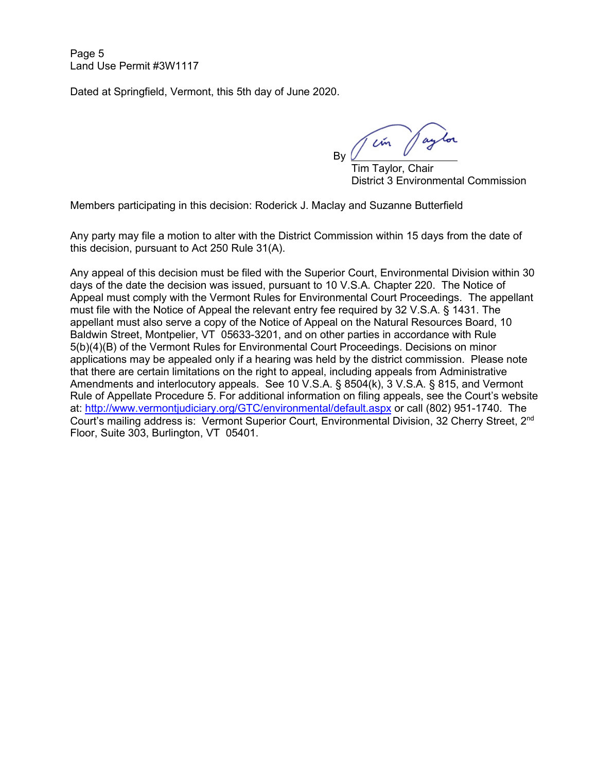Page 5 Land Use Permit #3W1117

Dated at Springfield, Vermont, this 5th day of June 2020.

Tem Jaylor

 Tim Taylor, Chair District 3 Environmental Commission

Members participating in this decision: Roderick J. Maclay and Suzanne Butterfield

Any party may file a motion to alter with the District Commission within 15 days from the date of this decision, pursuant to Act 250 Rule 31(A).

Any appeal of this decision must be filed with the Superior Court, Environmental Division within 30 days of the date the decision was issued, pursuant to 10 V.S.A. Chapter 220. The Notice of Appeal must comply with the Vermont Rules for Environmental Court Proceedings. The appellant must file with the Notice of Appeal the relevant entry fee required by 32 V.S.A. § 1431. The appellant must also serve a copy of the Notice of Appeal on the Natural Resources Board, 10 Baldwin Street, Montpelier, VT 05633-3201, and on other parties in accordance with Rule 5(b)(4)(B) of the Vermont Rules for Environmental Court Proceedings. Decisions on minor applications may be appealed only if a hearing was held by the district commission. Please note that there are certain limitations on the right to appeal, including appeals from Administrative Amendments and interlocutory appeals. See 10 V.S.A. § 8504(k), 3 V.S.A. § 815, and Vermont Rule of Appellate Procedure 5. For additional information on filing appeals, see the Court's website at:<http://www.vermontjudiciary.org/GTC/environmental/default.aspx> or call (802) 951-1740. The Court's mailing address is: Vermont Superior Court, Environmental Division, 32 Cherry Street, 2nd Floor, Suite 303, Burlington, VT 05401.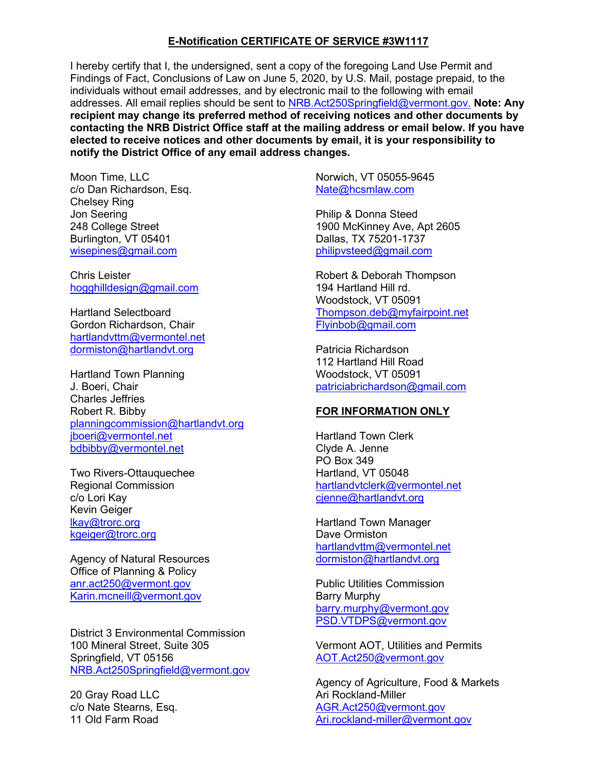#### **E-Notification CERTIFICATE OF SERVICE #3W1117**

I hereby certify that I, the undersigned, sent a copy of the foregoing Land Use Permit and Findings of Fact, Conclusions of Law on June 5, 2020, by U.S. Mail, postage prepaid, to the individuals without email addresses, and by electronic mail to the following with email addresses. All email replies should be sent to [NRB.Act250Springfield@vermont.gov.](mailto:NRB.Act250Springfield@vermont.gov.) **Note: Any recipient may change its preferred method of receiving notices and other documents by contacting the NRB District Office staff at the mailing address or email below. If you have elected to receive notices and other documents by email, it is your responsibility to notify the District Office of any email address changes.**

Moon Time, LLC c/o Dan Richardson, Esq. Chelsey Ring Jon Seering 248 College Street Burlington, VT 05401 [wisepines@gmail.com](mailto:wisepines@gmail.com)

Chris Leister [hogghilldesign@gmail.com](mailto:hogghilldesign@gmail.com)

Hartland Selectboard Gordon Richardson, Chair [hartlandvttm@vermontel.net](mailto:hartlandvttm@vermontel.net) [dormiston@hartlandvt.org](mailto:dormiston@hartlandvt.org)

Hartland Town Planning J. Boeri, Chair Charles Jeffries Robert R. Bibby [planningcommission@hartlandvt.org](mailto:planningcommission@hartlandvt.org) [jboeri@vermontel.net](mailto:jboeri@vermontel.net) [bdbibby@vermontel.net](mailto:bdbibby@vermontel.net)

Two Rivers-Ottauquechee Regional Commission c/o Lori Kay Kevin Geiger [lkay@trorc.org](mailto:lkay@trorc.org) [kgeiger@trorc.org](mailto:kgeiger@trorc.org)

Agency of Natural Resources Office of Planning & Policy [anr.act250@vermont.gov](mailto:anr.act250@vermont.gov) [Karin.mcneill@vermont.gov](mailto:Karin.mcneill@vermont.gov)

District 3 Environmental Commission 100 Mineral Street, Suite 305 Springfield, VT 05156 [NRB.Act250Springfield@vermont.gov](mailto:NRB.Act250Springfield@vermont.gov)

20 Gray Road LLC c/o Nate Stearns, Esq. 11 Old Farm Road

Norwich, VT 05055-9645 [Nate@hcsmlaw.com](mailto:Nate@hcsmlaw.com)

Philip & Donna Steed 1900 McKinney Ave, Apt 2605 Dallas, TX 75201-1737 [philipvsteed@gmail.com](mailto:philipvsteed@gmail.com)

Robert & Deborah Thompson 194 Hartland Hill rd. Woodstock, VT 05091 [Thompson.deb@myfairpoint.net](mailto:Thompson.deb@myfairpoint.net) [Flyinbob@gmail.com](mailto:Flyinbob@gmail.com)

Patricia Richardson 112 Hartland Hill Road Woodstock, VT 05091 [patriciabrichardson@gmail.com](mailto:patriciabrichardson@gmail.com)

#### **FOR INFORMATION ONLY**

Hartland Town Clerk Clyde A. Jenne PO Box 349 Hartland, VT 05048 [hartlandvtclerk@vermontel.net](mailto:hartlandvtclerk@vermontel.net) [cjenne@hartlandvt.org](mailto:cjenne@hartlandvt.org)

Hartland Town Manager Dave Ormiston [hartlandvttm@vermontel.net](mailto:hartlandvttm@vermontel.net) [dormiston@hartlandvt.org](mailto:dormiston@hartlandvt.org)

Public Utilities Commission Barry Murphy barry.murphy@vermont.gov [PSD.VTDPS@vermont.gov](mailto:PSD.VTDPS@vermont.gov)

Vermont AOT, Utilities and Permits [AOT.Act250@vermont.gov](mailto:AOT.Act250@vermont.gov)

Agency of Agriculture, Food & Markets Ari Rockland-Miller [AGR.Act250@v](mailto:AGR.Act250@)ermont.gov [Ari.rockland-miller@vermont.gov](mailto:Ari.rockland-miller@vermont.gov)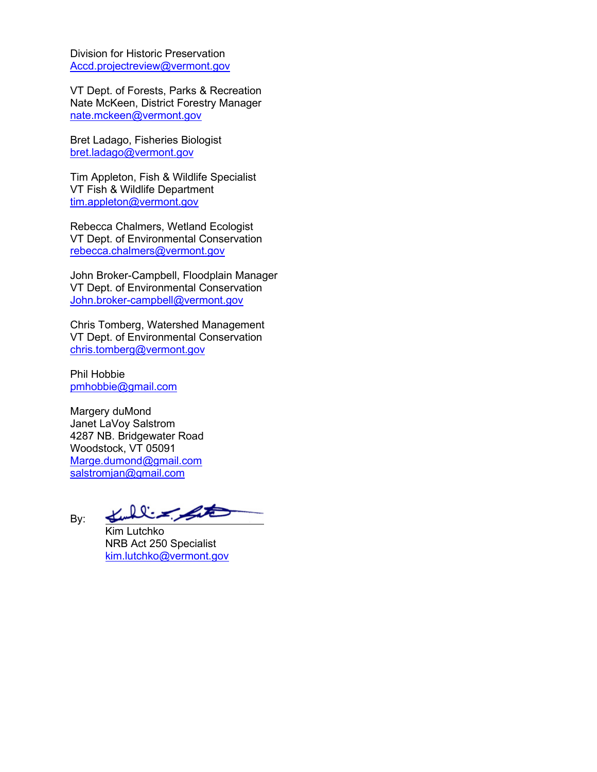Division for Historic Preservation [Accd.projectreview@vermont.gov](mailto:Accd.projectreview@vermont.gov)

VT Dept. of Forests, Parks & Recreation Nate McKeen, District Forestry Manager [nate.mckeen@v](mailto:nate.mckeen@)ermont.gov

Bret Ladago, Fisheries Biologist [bret.ladago@v](mailto:bret.ladago@)ermont.gov

Tim Appleton, Fish & Wildlife Specialist VT Fish & Wildlife Department [tim.appleton@vermont.gov](mailto:tim.appleton@vermont.gov)

Rebecca Chalmers, Wetland Ecologist VT Dept. of Environmental Conservation [rebecca.chalmers@vermont.gov](mailto:rebecca.chalmers@vermont.gov)

John Broker-Campbell, Floodplain Manager VT Dept. of Environmental Conservation [John.broker-campbell@vermont.gov](mailto:John.broker-campbell@vermont.gov)

Chris Tomberg, Watershed Management VT Dept. of Environmental Conservation [chris.tomberg@vermont.gov](mailto:chris.tomberg@vermont.gov)

Phil Hobbie [pmhobbie@gmail.com](mailto:pmhobbie@gmail.com)

Margery duMond Janet LaVoy Salstrom 4287 NB. Bridgewater Road Woodstock, VT 05091 [Marge.dumond@gmail.com](mailto:Marge.dumond@gmail.com) [salstromjan@gmail.com](mailto:salstromjan@gmail.com)

*پر سے بین المدی*ر By:

Kim Lutchko NRB Act 250 Specialist [kim.lutchko@vermont.gov](mailto:kim.lutchko@vermont.gov)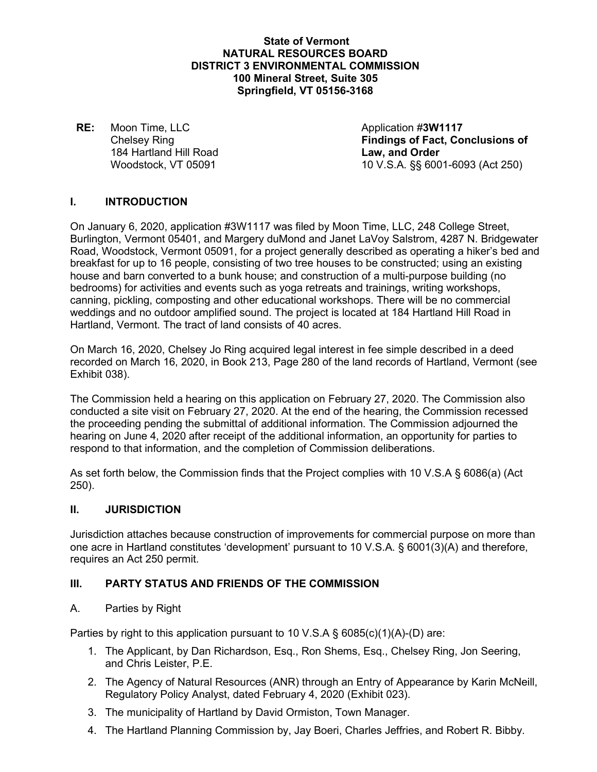#### **State of Vermont NATURAL RESOURCES BOARD DISTRICT 3 ENVIRONMENTAL COMMISSION 100 Mineral Street, Suite 305 Springfield, VT 05156-3168**

**RE:** Moon Time, LLC Application #3W1117 184 Hartland Hill Road **Law, and Order** Woodstock, VT 05091

**Chelsey Ring Findings of Fact, Conclusions of** 10 V.S.A. §§ 6001-6093 (Act 250)

# **I. INTRODUCTION**

On January 6, 2020, application #3W1117 was filed by Moon Time, LLC, 248 College Street, Burlington, Vermont 05401, and Margery duMond and Janet LaVoy Salstrom, 4287 N. Bridgewater Road, Woodstock, Vermont 05091, for a project generally described as operating a hiker's bed and breakfast for up to 16 people, consisting of two tree houses to be constructed; using an existing house and barn converted to a bunk house; and construction of a multi-purpose building (no bedrooms) for activities and events such as yoga retreats and trainings, writing workshops, canning, pickling, composting and other educational workshops. There will be no commercial weddings and no outdoor amplified sound. The project is located at 184 Hartland Hill Road in Hartland, Vermont. The tract of land consists of 40 acres.

On March 16, 2020, Chelsey Jo Ring acquired legal interest in fee simple described in a deed recorded on March 16, 2020, in Book 213, Page 280 of the land records of Hartland, Vermont (see Exhibit 038).

The Commission held a hearing on this application on February 27, 2020. The Commission also conducted a site visit on February 27, 2020. At the end of the hearing, the Commission recessed the proceeding pending the submittal of additional information. The Commission adjourned the hearing on June 4, 2020 after receipt of the additional information, an opportunity for parties to respond to that information, and the completion of Commission deliberations.

As set forth below, the Commission finds that the Project complies with 10 V.S.A § 6086(a) (Act 250).

#### **II. JURISDICTION**

Jurisdiction attaches because construction of improvements for commercial purpose on more than one acre in Hartland constitutes 'development' pursuant to 10 V.S.A. § 6001(3)(A) and therefore, requires an Act 250 permit.

#### **III. PARTY STATUS AND FRIENDS OF THE COMMISSION**

#### A. Parties by Right

Parties by right to this application pursuant to 10 V.S.A  $\S$  6085(c)(1)(A)-(D) are:

- 1. The Applicant, by Dan Richardson, Esq., Ron Shems, Esq., Chelsey Ring, Jon Seering, and Chris Leister, P.E.
- 2. The Agency of Natural Resources (ANR) through an Entry of Appearance by Karin McNeill, Regulatory Policy Analyst, dated February 4, 2020 (Exhibit 023).
- 3. The municipality of Hartland by David Ormiston, Town Manager.
- 4. The Hartland Planning Commission by, Jay Boeri, Charles Jeffries, and Robert R. Bibby.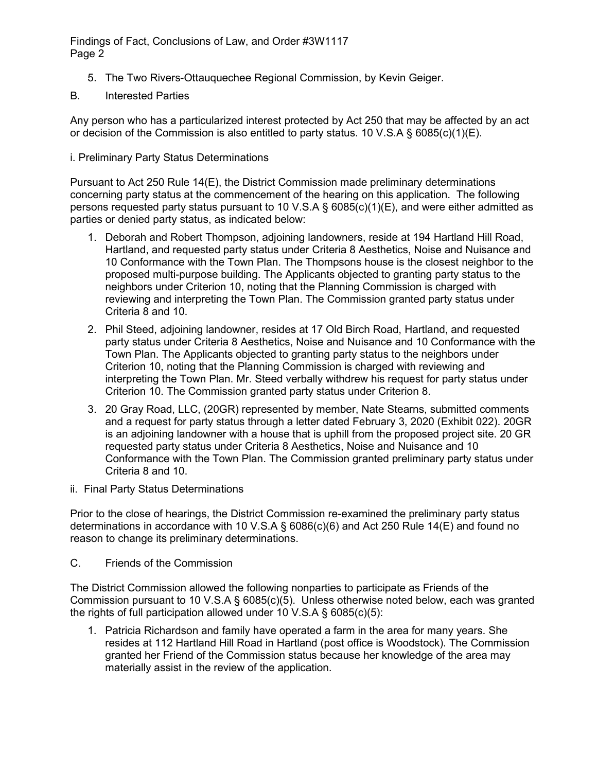- 5. The Two Rivers-Ottauquechee Regional Commission, by Kevin Geiger.
- B. Interested Parties

Any person who has a particularized interest protected by Act 250 that may be affected by an act or decision of the Commission is also entitled to party status. 10 V.S.A  $\S$  6085(c)(1)(E).

i. Preliminary Party Status Determinations

Pursuant to Act 250 Rule 14(E), the District Commission made preliminary determinations concerning party status at the commencement of the hearing on this application. The following persons requested party status pursuant to 10 V.S.A § 6085(c)(1)(E), and were either admitted as parties or denied party status, as indicated below:

- 1. Deborah and Robert Thompson, adjoining landowners, reside at 194 Hartland Hill Road, Hartland, and requested party status under Criteria 8 Aesthetics, Noise and Nuisance and 10 Conformance with the Town Plan. The Thompsons house is the closest neighbor to the proposed multi-purpose building. The Applicants objected to granting party status to the neighbors under Criterion 10, noting that the Planning Commission is charged with reviewing and interpreting the Town Plan. The Commission granted party status under Criteria 8 and 10.
- 2. Phil Steed, adjoining landowner, resides at 17 Old Birch Road, Hartland, and requested party status under Criteria 8 Aesthetics, Noise and Nuisance and 10 Conformance with the Town Plan. The Applicants objected to granting party status to the neighbors under Criterion 10, noting that the Planning Commission is charged with reviewing and interpreting the Town Plan. Mr. Steed verbally withdrew his request for party status under Criterion 10. The Commission granted party status under Criterion 8.
- 3. 20 Gray Road, LLC, (20GR) represented by member, Nate Stearns, submitted comments and a request for party status through a letter dated February 3, 2020 (Exhibit 022). 20GR is an adjoining landowner with a house that is uphill from the proposed project site. 20 GR requested party status under Criteria 8 Aesthetics, Noise and Nuisance and 10 Conformance with the Town Plan. The Commission granted preliminary party status under Criteria 8 and 10.
- ii. Final Party Status Determinations

Prior to the close of hearings, the District Commission re-examined the preliminary party status determinations in accordance with 10 V.S.A § 6086(c)(6) and Act 250 Rule 14(E) and found no reason to change its preliminary determinations.

C. Friends of the Commission

The District Commission allowed the following nonparties to participate as Friends of the Commission pursuant to 10 V.S.A § 6085(c)(5). Unless otherwise noted below, each was granted the rights of full participation allowed under 10 V.S.A  $\S$  6085(c)(5):

1. Patricia Richardson and family have operated a farm in the area for many years. She resides at 112 Hartland Hill Road in Hartland (post office is Woodstock). The Commission granted her Friend of the Commission status because her knowledge of the area may materially assist in the review of the application.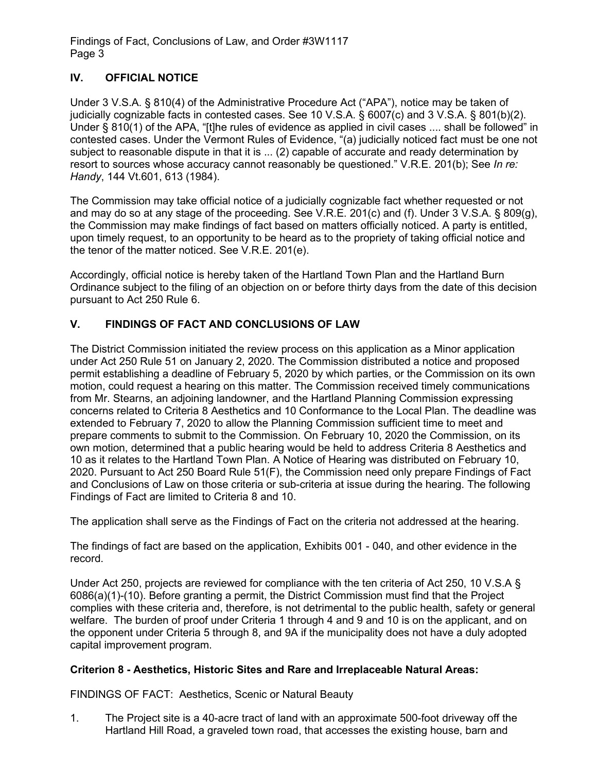# **IV. OFFICIAL NOTICE**

Under 3 V.S.A. § 810(4) of the Administrative Procedure Act ("APA"), notice may be taken of judicially cognizable facts in contested cases. See 10 V.S.A. § 6007(c) and 3 V.S.A. § 801(b)(2). Under § 810(1) of the APA, "[t]he rules of evidence as applied in civil cases .... shall be followed" in contested cases. Under the Vermont Rules of Evidence, "(a) judicially noticed fact must be one not subject to reasonable dispute in that it is ... (2) capable of accurate and ready determination by resort to sources whose accuracy cannot reasonably be questioned." V.R.E. 201(b); See *In re: Handy*, 144 Vt.601, 613 (1984).

The Commission may take official notice of a judicially cognizable fact whether requested or not and may do so at any stage of the proceeding. See V.R.E. 201(c) and (f). Under 3 V.S.A. § 809(g), the Commission may make findings of fact based on matters officially noticed. A party is entitled, upon timely request, to an opportunity to be heard as to the propriety of taking official notice and the tenor of the matter noticed. See V.R.E. 201(e).

Accordingly, official notice is hereby taken of the Hartland Town Plan and the Hartland Burn Ordinance subject to the filing of an objection on or before thirty days from the date of this decision pursuant to Act 250 Rule 6.

# **V. FINDINGS OF FACT AND CONCLUSIONS OF LAW**

The District Commission initiated the review process on this application as a Minor application under Act 250 Rule 51 on January 2, 2020. The Commission distributed a notice and proposed permit establishing a deadline of February 5, 2020 by which parties, or the Commission on its own motion, could request a hearing on this matter. The Commission received timely communications from Mr. Stearns, an adjoining landowner, and the Hartland Planning Commission expressing concerns related to Criteria 8 Aesthetics and 10 Conformance to the Local Plan. The deadline was extended to February 7, 2020 to allow the Planning Commission sufficient time to meet and prepare comments to submit to the Commission. On February 10, 2020 the Commission, on its own motion, determined that a public hearing would be held to address Criteria 8 Aesthetics and 10 as it relates to the Hartland Town Plan. A Notice of Hearing was distributed on February 10, 2020. Pursuant to Act 250 Board Rule 51(F), the Commission need only prepare Findings of Fact and Conclusions of Law on those criteria or sub-criteria at issue during the hearing. The following Findings of Fact are limited to Criteria 8 and 10.

The application shall serve as the Findings of Fact on the criteria not addressed at the hearing.

The findings of fact are based on the application, Exhibits 001 - 040, and other evidence in the record.

Under Act 250, projects are reviewed for compliance with the ten criteria of Act 250, 10 V.S.A § 6086(a)(1)-(10). Before granting a permit, the District Commission must find that the Project complies with these criteria and, therefore, is not detrimental to the public health, safety or general welfare. The burden of proof under Criteria 1 through 4 and 9 and 10 is on the applicant, and on the opponent under Criteria 5 through 8, and 9A if the municipality does not have a duly adopted capital improvement program.

#### **Criterion 8 - Aesthetics, Historic Sites and Rare and Irreplaceable Natural Areas:**

FINDINGS OF FACT: Aesthetics, Scenic or Natural Beauty

1. The Project site is a 40-acre tract of land with an approximate 500-foot driveway off the Hartland Hill Road, a graveled town road, that accesses the existing house, barn and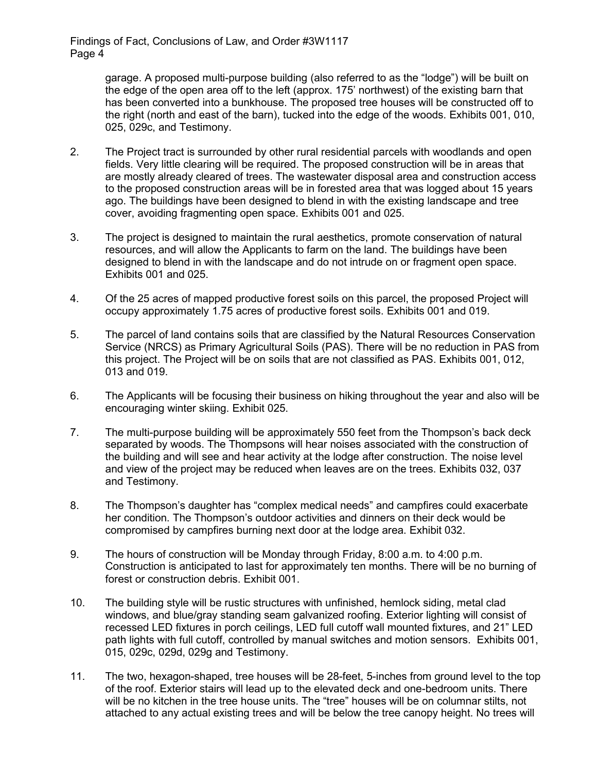> garage. A proposed multi-purpose building (also referred to as the "lodge") will be built on the edge of the open area off to the left (approx. 175' northwest) of the existing barn that has been converted into a bunkhouse. The proposed tree houses will be constructed off to the right (north and east of the barn), tucked into the edge of the woods. Exhibits 001, 010, 025, 029c, and Testimony.

- 2. The Project tract is surrounded by other rural residential parcels with woodlands and open fields. Very little clearing will be required. The proposed construction will be in areas that are mostly already cleared of trees. The wastewater disposal area and construction access to the proposed construction areas will be in forested area that was logged about 15 years ago. The buildings have been designed to blend in with the existing landscape and tree cover, avoiding fragmenting open space. Exhibits 001 and 025.
- 3. The project is designed to maintain the rural aesthetics, promote conservation of natural resources, and will allow the Applicants to farm on the land. The buildings have been designed to blend in with the landscape and do not intrude on or fragment open space. Exhibits 001 and 025.
- 4. Of the 25 acres of mapped productive forest soils on this parcel, the proposed Project will occupy approximately 1.75 acres of productive forest soils. Exhibits 001 and 019.
- 5. The parcel of land contains soils that are classified by the Natural Resources Conservation Service (NRCS) as Primary Agricultural Soils (PAS). There will be no reduction in PAS from this project. The Project will be on soils that are not classified as PAS. Exhibits 001, 012, 013 and 019.
- 6. The Applicants will be focusing their business on hiking throughout the year and also will be encouraging winter skiing. Exhibit 025.
- 7. The multi-purpose building will be approximately 550 feet from the Thompson's back deck separated by woods. The Thompsons will hear noises associated with the construction of the building and will see and hear activity at the lodge after construction. The noise level and view of the project may be reduced when leaves are on the trees. Exhibits 032, 037 and Testimony.
- 8. The Thompson's daughter has "complex medical needs" and campfires could exacerbate her condition. The Thompson's outdoor activities and dinners on their deck would be compromised by campfires burning next door at the lodge area. Exhibit 032.
- 9. The hours of construction will be Monday through Friday, 8:00 a.m. to 4:00 p.m. Construction is anticipated to last for approximately ten months. There will be no burning of forest or construction debris. Exhibit 001.
- 10. The building style will be rustic structures with unfinished, hemlock siding, metal clad windows, and blue/gray standing seam galvanized roofing. Exterior lighting will consist of recessed LED fixtures in porch ceilings, LED full cutoff wall mounted fixtures, and 21" LED path lights with full cutoff, controlled by manual switches and motion sensors. Exhibits 001, 015, 029c, 029d, 029g and Testimony.
- 11. The two, hexagon-shaped, tree houses will be 28-feet, 5-inches from ground level to the top of the roof. Exterior stairs will lead up to the elevated deck and one-bedroom units. There will be no kitchen in the tree house units. The "tree" houses will be on columnar stilts, not attached to any actual existing trees and will be below the tree canopy height. No trees will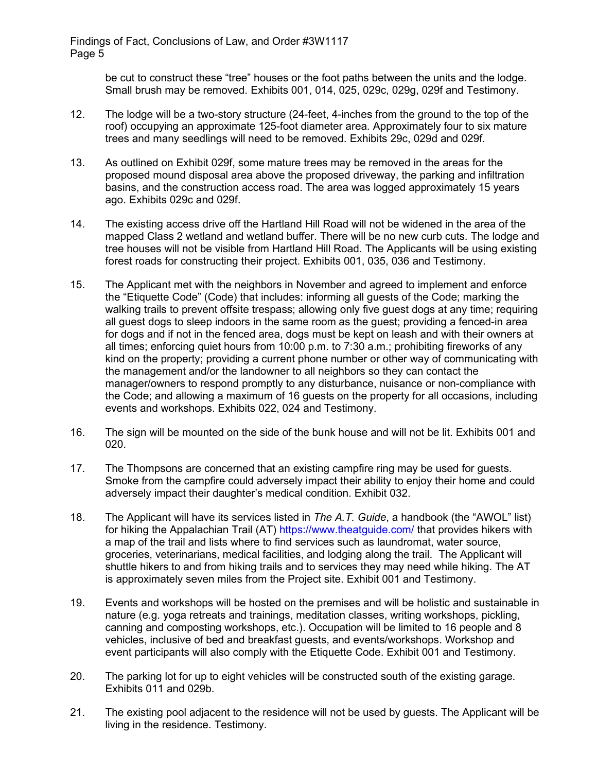> be cut to construct these "tree" houses or the foot paths between the units and the lodge. Small brush may be removed. Exhibits 001, 014, 025, 029c, 029g, 029f and Testimony.

- 12. The lodge will be a two-story structure (24-feet, 4-inches from the ground to the top of the roof) occupying an approximate 125-foot diameter area. Approximately four to six mature trees and many seedlings will need to be removed. Exhibits 29c, 029d and 029f.
- 13. As outlined on Exhibit 029f, some mature trees may be removed in the areas for the proposed mound disposal area above the proposed driveway, the parking and infiltration basins, and the construction access road. The area was logged approximately 15 years ago. Exhibits 029c and 029f.
- 14. The existing access drive off the Hartland Hill Road will not be widened in the area of the mapped Class 2 wetland and wetland buffer. There will be no new curb cuts. The lodge and tree houses will not be visible from Hartland Hill Road. The Applicants will be using existing forest roads for constructing their project. Exhibits 001, 035, 036 and Testimony.
- 15. The Applicant met with the neighbors in November and agreed to implement and enforce the "Etiquette Code" (Code) that includes: informing all guests of the Code; marking the walking trails to prevent offsite trespass; allowing only five guest dogs at any time; requiring all guest dogs to sleep indoors in the same room as the guest; providing a fenced-in area for dogs and if not in the fenced area, dogs must be kept on leash and with their owners at all times; enforcing quiet hours from 10:00 p.m. to 7:30 a.m.; prohibiting fireworks of any kind on the property; providing a current phone number or other way of communicating with the management and/or the landowner to all neighbors so they can contact the manager/owners to respond promptly to any disturbance, nuisance or non-compliance with the Code; and allowing a maximum of 16 guests on the property for all occasions, including events and workshops. Exhibits 022, 024 and Testimony.
- 16. The sign will be mounted on the side of the bunk house and will not be lit. Exhibits 001 and 020.
- 17. The Thompsons are concerned that an existing campfire ring may be used for guests. Smoke from the campfire could adversely impact their ability to enjoy their home and could adversely impact their daughter's medical condition. Exhibit 032.
- 18. The Applicant will have its services listed in *The A.T. Guide*, a handbook (the "AWOL" list) for hiking the Appalachian Trail (AT)<https://www.theatguide.com/> that provides hikers with a map of the trail and lists where to find services such as laundromat, water source, groceries, veterinarians, medical facilities, and lodging along the trail. The Applicant will shuttle hikers to and from hiking trails and to services they may need while hiking. The AT is approximately seven miles from the Project site. Exhibit 001 and Testimony.
- 19. Events and workshops will be hosted on the premises and will be holistic and sustainable in nature (e.g. yoga retreats and trainings, meditation classes, writing workshops, pickling, canning and composting workshops, etc.). Occupation will be limited to 16 people and 8 vehicles, inclusive of bed and breakfast guests, and events/workshops. Workshop and event participants will also comply with the Etiquette Code. Exhibit 001 and Testimony.
- 20. The parking lot for up to eight vehicles will be constructed south of the existing garage. Exhibits 011 and 029b.
- 21. The existing pool adjacent to the residence will not be used by guests. The Applicant will be living in the residence. Testimony.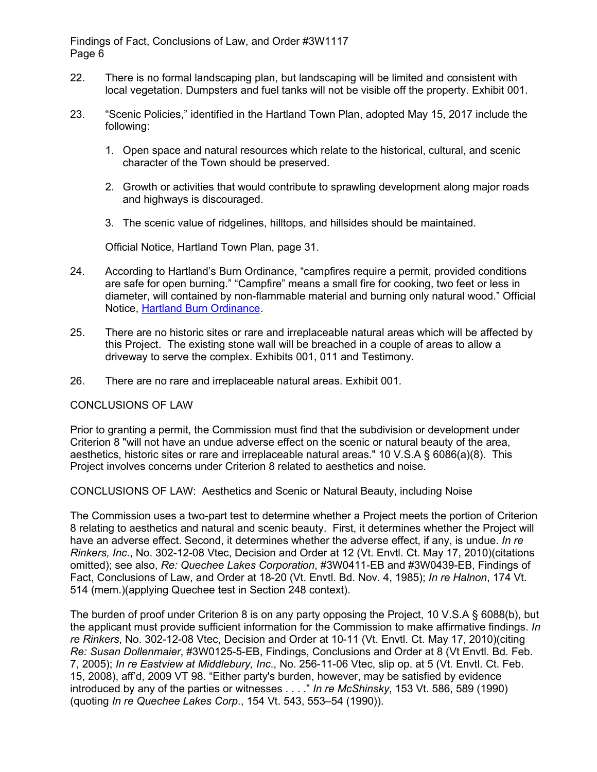- 22. There is no formal landscaping plan, but landscaping will be limited and consistent with local vegetation. Dumpsters and fuel tanks will not be visible off the property. Exhibit 001.
- 23. "Scenic Policies," identified in the Hartland Town Plan, adopted May 15, 2017 include the following:
	- 1. Open space and natural resources which relate to the historical, cultural, and scenic character of the Town should be preserved.
	- 2. Growth or activities that would contribute to sprawling development along major roads and highways is discouraged.
	- 3. The scenic value of ridgelines, hilltops, and hillsides should be maintained.

Official Notice, Hartland Town Plan, page 31.

- 24. According to Hartland's Burn Ordinance, "campfires require a permit, provided conditions are safe for open burning." "Campfire" means a small fire for cooking, two feet or less in diameter, will contained by non-flammable material and burning only natural wood." Official Notice, [Hartland Burn Ordinance.](https://hartland.govoffice.com/index.asp?SEC=37C22B72-89EC-44EC-B2A8-9AF8F0218704&DE=C43303E7-C942-411D-8724-AE98FCA9590C&Type=B_BASIC)
- 25. There are no historic sites or rare and irreplaceable natural areas which will be affected by this Project. The existing stone wall will be breached in a couple of areas to allow a driveway to serve the complex. Exhibits 001, 011 and Testimony.
- 26. There are no rare and irreplaceable natural areas. Exhibit 001.

CONCLUSIONS OF LAW

Prior to granting a permit, the Commission must find that the subdivision or development under Criterion 8 "will not have an undue adverse effect on the scenic or natural beauty of the area, aesthetics, historic sites or rare and irreplaceable natural areas." 10 V.S.A § 6086(a)(8). This Project involves concerns under Criterion 8 related to aesthetics and noise.

CONCLUSIONS OF LAW: Aesthetics and Scenic or Natural Beauty, including Noise

The Commission uses a two-part test to determine whether a Project meets the portion of Criterion 8 relating to aesthetics and natural and scenic beauty. First, it determines whether the Project will have an adverse effect. Second, it determines whether the adverse effect, if any, is undue. *In re Rinkers, Inc*., No. 302-12-08 Vtec, Decision and Order at 12 (Vt. Envtl. Ct. May 17, 2010)(citations omitted); see also, *Re: Quechee Lakes Corporation*, #3W0411-EB and #3W0439-EB, Findings of Fact, Conclusions of Law, and Order at 18-20 (Vt. Envtl. Bd. Nov. 4, 1985); *In re Halnon*, 174 Vt. 514 (mem.)(applying Quechee test in Section 248 context).

The burden of proof under Criterion 8 is on any party opposing the Project, 10 V.S.A § 6088(b), but the applicant must provide sufficient information for the Commission to make affirmative findings. *In re Rinkers*, No. 302-12-08 Vtec, Decision and Order at 10-11 (Vt. Envtl. Ct. May 17, 2010)(citing *Re: Susan Dollenmaier*, #3W0125-5-EB, Findings, Conclusions and Order at 8 (Vt Envtl. Bd. Feb. 7, 2005); *In re Eastview at Middlebury, Inc*., No. 256-11-06 Vtec, slip op. at 5 (Vt. Envtl. Ct. Feb. 15, 2008), aff'd, 2009 VT 98. "Either party's burden, however, may be satisfied by evidence introduced by any of the parties or witnesses . . . ." *In re McShinsky*, 153 Vt. 586, 589 (1990) (quoting *In re Quechee Lakes Corp*., 154 Vt. 543, 553–54 (1990)).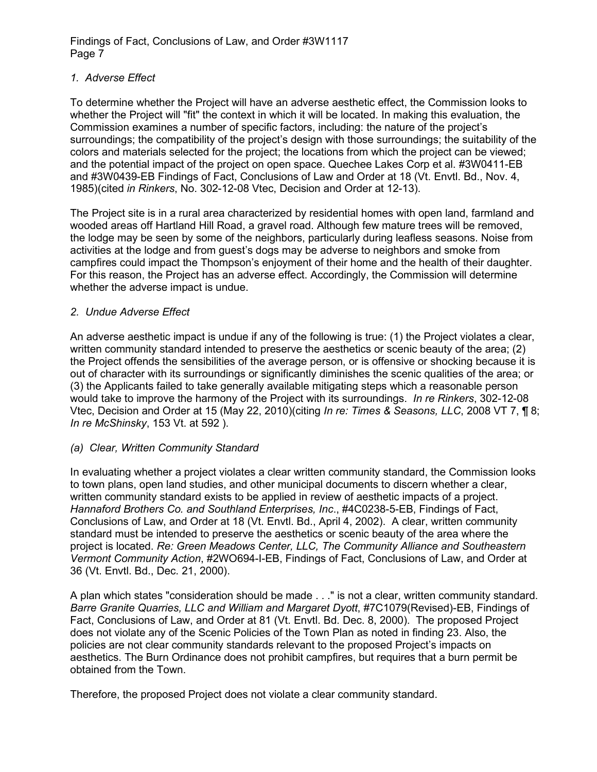### *1. Adverse Effect*

To determine whether the Project will have an adverse aesthetic effect, the Commission looks to whether the Project will "fit" the context in which it will be located. In making this evaluation, the Commission examines a number of specific factors, including: the nature of the project's surroundings; the compatibility of the project's design with those surroundings; the suitability of the colors and materials selected for the project; the locations from which the project can be viewed; and the potential impact of the project on open space. Quechee Lakes Corp et al. #3W0411-EB and #3W0439-EB Findings of Fact, Conclusions of Law and Order at 18 (Vt. Envtl. Bd., Nov. 4, 1985)(cited *in Rinkers*, No. 302-12-08 Vtec, Decision and Order at 12-13).

The Project site is in a rural area characterized by residential homes with open land, farmland and wooded areas off Hartland Hill Road, a gravel road. Although few mature trees will be removed, the lodge may be seen by some of the neighbors, particularly during leafless seasons. Noise from activities at the lodge and from guest's dogs may be adverse to neighbors and smoke from campfires could impact the Thompson's enjoyment of their home and the health of their daughter. For this reason, the Project has an adverse effect. Accordingly, the Commission will determine whether the adverse impact is undue.

# *2. Undue Adverse Effect*

An adverse aesthetic impact is undue if any of the following is true: (1) the Project violates a clear, written community standard intended to preserve the aesthetics or scenic beauty of the area; (2) the Project offends the sensibilities of the average person, or is offensive or shocking because it is out of character with its surroundings or significantly diminishes the scenic qualities of the area; or (3) the Applicants failed to take generally available mitigating steps which a reasonable person would take to improve the harmony of the Project with its surroundings. *In re Rinkers*, 302-12-08 Vtec, Decision and Order at 15 (May 22, 2010)(citing *In re: Times & Seasons, LLC*, 2008 VT 7, ¶ 8; *In re McShinsky*, 153 Vt. at 592 ).

#### *(a) Clear, Written Community Standard*

In evaluating whether a project violates a clear written community standard, the Commission looks to town plans, open land studies, and other municipal documents to discern whether a clear, written community standard exists to be applied in review of aesthetic impacts of a project. *Hannaford Brothers Co. and Southland Enterprises, Inc*., #4C0238-5-EB, Findings of Fact, Conclusions of Law, and Order at 18 (Vt. Envtl. Bd., April 4, 2002). A clear, written community standard must be intended to preserve the aesthetics or scenic beauty of the area where the project is located. *Re: Green Meadows Center, LLC, The Community Alliance and Southeastern Vermont Community Action*, #2WO694-I-EB, Findings of Fact, Conclusions of Law, and Order at 36 (Vt. Envtl. Bd., Dec. 21, 2000).

A plan which states "consideration should be made . . ." is not a clear, written community standard. *Barre Granite Quarries, LLC and William and Margaret Dyott*, #7C1079(Revised)-EB, Findings of Fact, Conclusions of Law, and Order at 81 (Vt. Envtl. Bd. Dec. 8, 2000). The proposed Project does not violate any of the Scenic Policies of the Town Plan as noted in finding 23. Also, the policies are not clear community standards relevant to the proposed Project's impacts on aesthetics. The Burn Ordinance does not prohibit campfires, but requires that a burn permit be obtained from the Town.

Therefore, the proposed Project does not violate a clear community standard.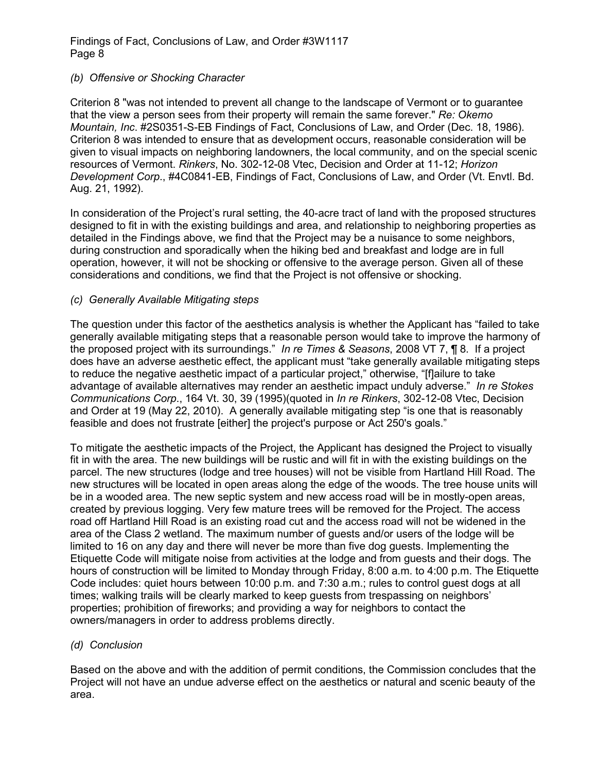#### *(b) Offensive or Shocking Character*

Criterion 8 "was not intended to prevent all change to the landscape of Vermont or to guarantee that the view a person sees from their property will remain the same forever." *Re: Okemo Mountain, Inc*. #2S0351-S-EB Findings of Fact, Conclusions of Law, and Order (Dec. 18, 1986). Criterion 8 was intended to ensure that as development occurs, reasonable consideration will be given to visual impacts on neighboring landowners, the local community, and on the special scenic resources of Vermont. *Rinkers*, No. 302-12-08 Vtec, Decision and Order at 11-12; *Horizon Development Corp*., #4C0841-EB, Findings of Fact, Conclusions of Law, and Order (Vt. Envtl. Bd. Aug. 21, 1992).

In consideration of the Project's rural setting, the 40-acre tract of land with the proposed structures designed to fit in with the existing buildings and area, and relationship to neighboring properties as detailed in the Findings above, we find that the Project may be a nuisance to some neighbors, during construction and sporadically when the hiking bed and breakfast and lodge are in full operation, however, it will not be shocking or offensive to the average person. Given all of these considerations and conditions, we find that the Project is not offensive or shocking.

#### *(c) Generally Available Mitigating steps*

The question under this factor of the aesthetics analysis is whether the Applicant has "failed to take generally available mitigating steps that a reasonable person would take to improve the harmony of the proposed project with its surroundings." *In re Times & Seasons*, 2008 VT 7, ¶ 8. If a project does have an adverse aesthetic effect, the applicant must "take generally available mitigating steps to reduce the negative aesthetic impact of a particular project," otherwise, "[f]ailure to take advantage of available alternatives may render an aesthetic impact unduly adverse." *In re Stokes Communications Corp*., 164 Vt. 30, 39 (1995)(quoted in *In re Rinkers*, 302-12-08 Vtec, Decision and Order at 19 (May 22, 2010). A generally available mitigating step "is one that is reasonably feasible and does not frustrate [either] the project's purpose or Act 250's goals."

To mitigate the aesthetic impacts of the Project, the Applicant has designed the Project to visually fit in with the area. The new buildings will be rustic and will fit in with the existing buildings on the parcel. The new structures (lodge and tree houses) will not be visible from Hartland Hill Road. The new structures will be located in open areas along the edge of the woods. The tree house units will be in a wooded area. The new septic system and new access road will be in mostly-open areas, created by previous logging. Very few mature trees will be removed for the Project. The access road off Hartland Hill Road is an existing road cut and the access road will not be widened in the area of the Class 2 wetland. The maximum number of guests and/or users of the lodge will be limited to 16 on any day and there will never be more than five dog guests. Implementing the Etiquette Code will mitigate noise from activities at the lodge and from guests and their dogs. The hours of construction will be limited to Monday through Friday, 8:00 a.m. to 4:00 p.m. The Etiquette Code includes: quiet hours between 10:00 p.m. and 7:30 a.m.; rules to control guest dogs at all times; walking trails will be clearly marked to keep guests from trespassing on neighbors' properties; prohibition of fireworks; and providing a way for neighbors to contact the owners/managers in order to address problems directly.

#### *(d) Conclusion*

Based on the above and with the addition of permit conditions, the Commission concludes that the Project will not have an undue adverse effect on the aesthetics or natural and scenic beauty of the area.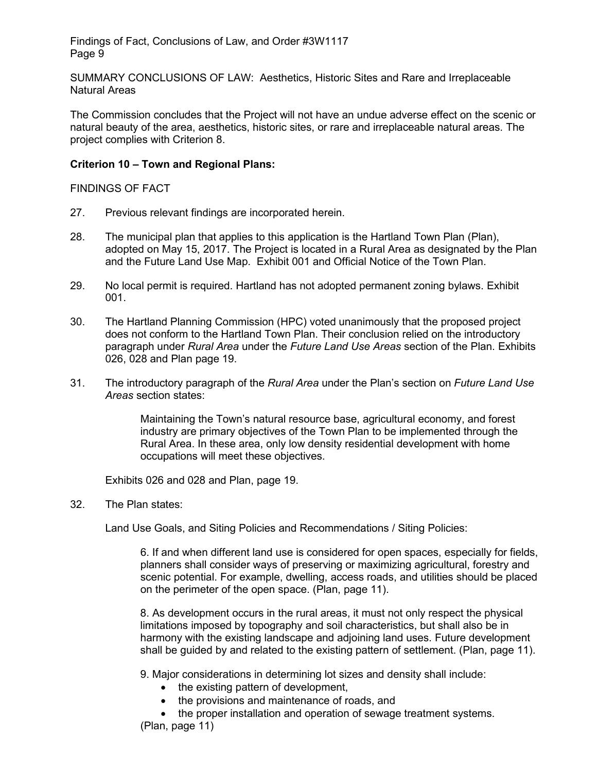SUMMARY CONCLUSIONS OF LAW: Aesthetics, Historic Sites and Rare and Irreplaceable Natural Areas

The Commission concludes that the Project will not have an undue adverse effect on the scenic or natural beauty of the area, aesthetics, historic sites, or rare and irreplaceable natural areas. The project complies with Criterion 8.

#### **Criterion 10 – Town and Regional Plans:**

FINDINGS OF FACT

- 27. Previous relevant findings are incorporated herein.
- 28. The municipal plan that applies to this application is the Hartland Town Plan (Plan), adopted on May 15, 2017. The Project is located in a Rural Area as designated by the Plan and the Future Land Use Map. Exhibit 001 and Official Notice of the Town Plan.
- 29. No local permit is required. Hartland has not adopted permanent zoning bylaws. Exhibit 001.
- 30. The Hartland Planning Commission (HPC) voted unanimously that the proposed project does not conform to the Hartland Town Plan. Their conclusion relied on the introductory paragraph under *Rural Area* under the *Future Land Use Areas* section of the Plan. Exhibits 026, 028 and Plan page 19.
- 31. The introductory paragraph of the *Rural Area* under the Plan's section on *Future Land Use Areas* section states:

Maintaining the Town's natural resource base, agricultural economy, and forest industry are primary objectives of the Town Plan to be implemented through the Rural Area. In these area, only low density residential development with home occupations will meet these objectives.

Exhibits 026 and 028 and Plan, page 19.

32. The Plan states:

Land Use Goals, and Siting Policies and Recommendations / Siting Policies:

6. If and when different land use is considered for open spaces, especially for fields, planners shall consider ways of preserving or maximizing agricultural, forestry and scenic potential. For example, dwelling, access roads, and utilities should be placed on the perimeter of the open space. (Plan, page 11).

8. As development occurs in the rural areas, it must not only respect the physical limitations imposed by topography and soil characteristics, but shall also be in harmony with the existing landscape and adjoining land uses. Future development shall be guided by and related to the existing pattern of settlement. (Plan, page 11).

9. Major considerations in determining lot sizes and density shall include:

- the existing pattern of development,
- the provisions and maintenance of roads, and

• the proper installation and operation of sewage treatment systems. (Plan, page 11)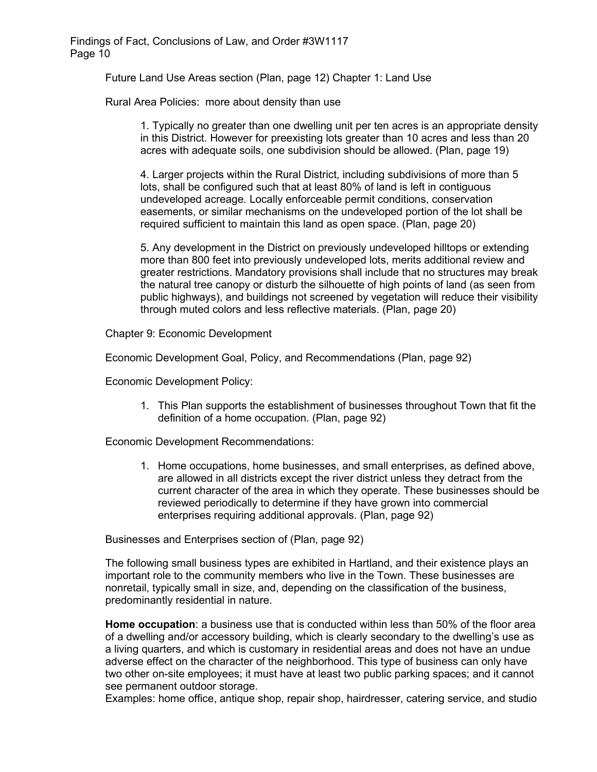Future Land Use Areas section (Plan, page 12) Chapter 1: Land Use

Rural Area Policies: more about density than use

1. Typically no greater than one dwelling unit per ten acres is an appropriate density in this District. However for preexisting lots greater than 10 acres and less than 20 acres with adequate soils, one subdivision should be allowed. (Plan, page 19)

4. Larger projects within the Rural District, including subdivisions of more than 5 lots, shall be configured such that at least 80% of land is left in contiguous undeveloped acreage. Locally enforceable permit conditions, conservation easements, or similar mechanisms on the undeveloped portion of the lot shall be required sufficient to maintain this land as open space. (Plan, page 20)

5. Any development in the District on previously undeveloped hilltops or extending more than 800 feet into previously undeveloped lots, merits additional review and greater restrictions. Mandatory provisions shall include that no structures may break the natural tree canopy or disturb the silhouette of high points of land (as seen from public highways), and buildings not screened by vegetation will reduce their visibility through muted colors and less reflective materials. (Plan, page 20)

Chapter 9: Economic Development

Economic Development Goal, Policy, and Recommendations (Plan, page 92)

Economic Development Policy:

1. This Plan supports the establishment of businesses throughout Town that fit the definition of a home occupation. (Plan, page 92)

Economic Development Recommendations:

1. Home occupations, home businesses, and small enterprises, as defined above, are allowed in all districts except the river district unless they detract from the current character of the area in which they operate. These businesses should be reviewed periodically to determine if they have grown into commercial enterprises requiring additional approvals. (Plan, page 92)

Businesses and Enterprises section of (Plan, page 92)

The following small business types are exhibited in Hartland, and their existence plays an important role to the community members who live in the Town. These businesses are nonretail, typically small in size, and, depending on the classification of the business, predominantly residential in nature.

**Home occupation**: a business use that is conducted within less than 50% of the floor area of a dwelling and/or accessory building, which is clearly secondary to the dwelling's use as a living quarters, and which is customary in residential areas and does not have an undue adverse effect on the character of the neighborhood. This type of business can only have two other on-site employees; it must have at least two public parking spaces; and it cannot see permanent outdoor storage.

Examples: home office, antique shop, repair shop, hairdresser, catering service, and studio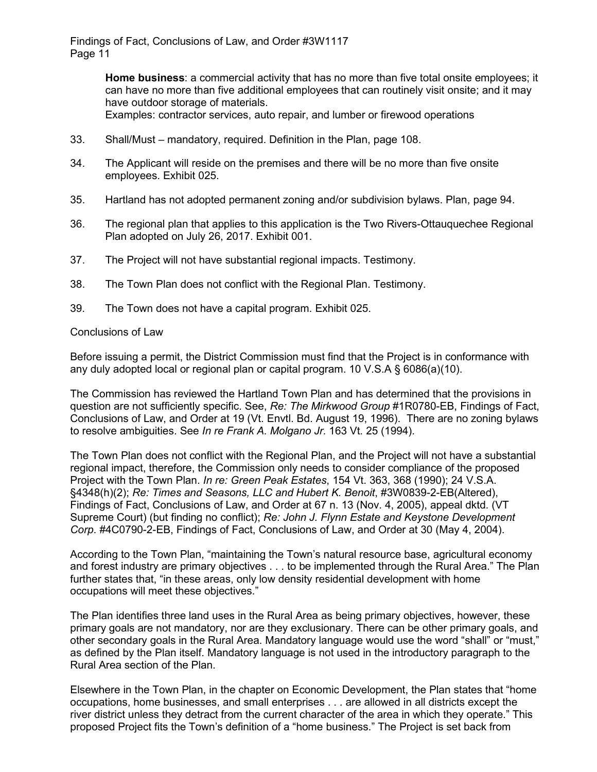> **Home business**: a commercial activity that has no more than five total onsite employees; it can have no more than five additional employees that can routinely visit onsite; and it may have outdoor storage of materials.

Examples: contractor services, auto repair, and lumber or firewood operations

- 33. Shall/Must mandatory, required. Definition in the Plan, page 108.
- 34. The Applicant will reside on the premises and there will be no more than five onsite employees. Exhibit 025.
- 35. Hartland has not adopted permanent zoning and/or subdivision bylaws. Plan, page 94.
- 36. The regional plan that applies to this application is the Two Rivers-Ottauquechee Regional Plan adopted on July 26, 2017. Exhibit 001.
- 37. The Project will not have substantial regional impacts. Testimony.
- 38. The Town Plan does not conflict with the Regional Plan. Testimony.
- 39. The Town does not have a capital program. Exhibit 025.

#### Conclusions of Law

Before issuing a permit, the District Commission must find that the Project is in conformance with any duly adopted local or regional plan or capital program. 10 V.S.A  $\S$  6086(a)(10).

The Commission has reviewed the Hartland Town Plan and has determined that the provisions in question are not sufficiently specific. See, *Re: The Mirkwood Group* #1R0780-EB, Findings of Fact, Conclusions of Law, and Order at 19 (Vt. Envtl. Bd. August 19, 1996). There are no zoning bylaws to resolve ambiguities. See *In re Frank A. Molgano Jr*. 163 Vt. 25 (1994).

The Town Plan does not conflict with the Regional Plan, and the Project will not have a substantial regional impact, therefore, the Commission only needs to consider compliance of the proposed Project with the Town Plan. *In re: Green Peak Estates*, 154 Vt. 363, 368 (1990); 24 V.S.A. §4348(h)(2); *Re: Times and Seasons, LLC and Hubert K. Benoit*, #3W0839-2-EB(Altered), Findings of Fact, Conclusions of Law, and Order at 67 n. 13 (Nov. 4, 2005), appeal dktd. (VT Supreme Court) (but finding no conflict); *Re: John J. Flynn Estate and Keystone Development Corp*. #4C0790-2-EB, Findings of Fact, Conclusions of Law, and Order at 30 (May 4, 2004).

According to the Town Plan, "maintaining the Town's natural resource base, agricultural economy and forest industry are primary objectives . . . to be implemented through the Rural Area." The Plan further states that, "in these areas, only low density residential development with home occupations will meet these objectives."

The Plan identifies three land uses in the Rural Area as being primary objectives, however, these primary goals are not mandatory, nor are they exclusionary. There can be other primary goals, and other secondary goals in the Rural Area. Mandatory language would use the word "shall" or "must," as defined by the Plan itself. Mandatory language is not used in the introductory paragraph to the Rural Area section of the Plan.

Elsewhere in the Town Plan, in the chapter on Economic Development, the Plan states that "home occupations, home businesses, and small enterprises . . . are allowed in all districts except the river district unless they detract from the current character of the area in which they operate." This proposed Project fits the Town's definition of a "home business." The Project is set back from